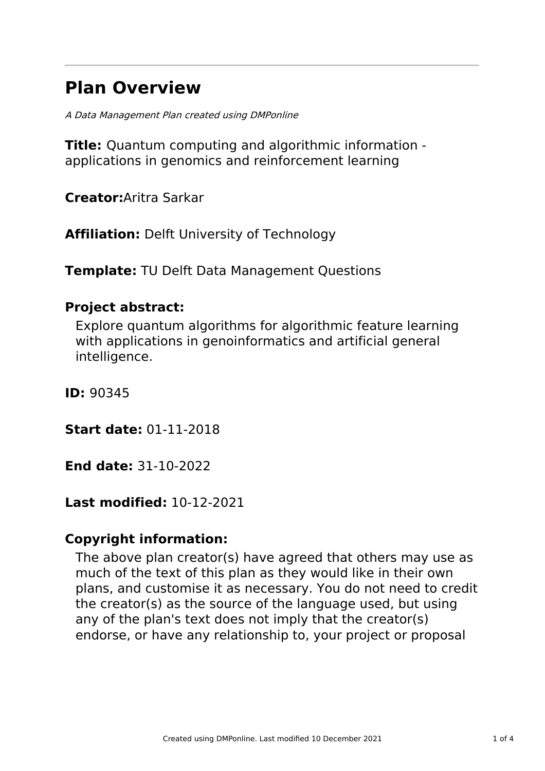# **Plan Overview**

A Data Management Plan created using DMPonline

**Title:** Quantum computing and algorithmic information applications in genomics and reinforcement learning

**Creator:**Aritra Sarkar

**Affiliation:** Delft University of Technology

**Template:** TU Delft Data Management Questions

### **Project abstract:**

Explore quantum algorithms for algorithmic feature learning with applications in genoinformatics and artificial general intelligence.

**ID:** 90345

**Start date:** 01-11-2018

**End date:** 31-10-2022

## **Last modified:** 10-12-2021

## **Copyright information:**

The above plan creator(s) have agreed that others may use as much of the text of this plan as they would like in their own plans, and customise it as necessary. You do not need to credit the creator(s) as the source of the language used, but using any of the plan's text does not imply that the creator(s) endorse, or have any relationship to, your project or proposal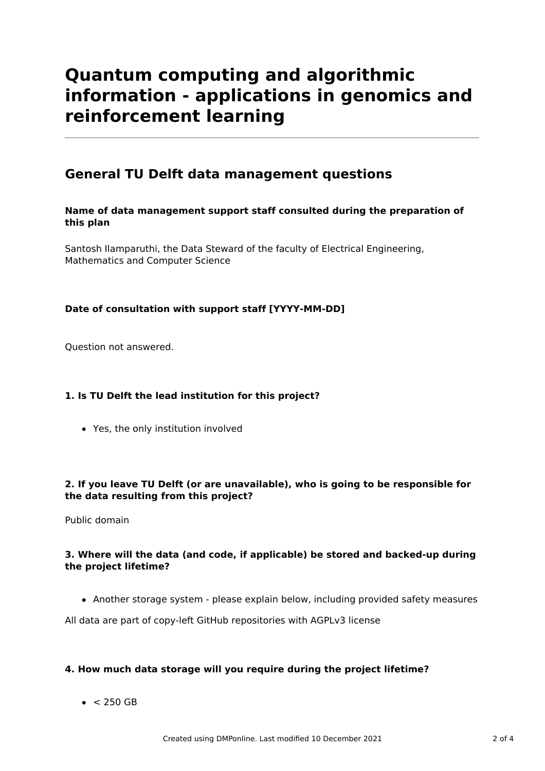# **Quantum computing and algorithmic information - applications in genomics and reinforcement learning**

### **General TU Delft data management questions**

#### **Name of data management support staff consulted during the preparation of this plan**

Santosh Ilamparuthi, the Data Steward of the faculty of Electrical Engineering, Mathematics and Computer Science

#### **Date of consultation with support staff [YYYY-MM-DD]**

Question not answered.

#### **1. Is TU Delft the lead institution for this project?**

Yes, the only institution involved

#### **2. If you leave TU Delft (or are unavailable), who is going to be responsible for the data resulting from this project?**

Public domain

#### **3. Where will the data (and code, if applicable) be stored and backed-up during the project lifetime?**

Another storage system - please explain below, including provided safety measures

All data are part of copy-left GitHub repositories with AGPLv3 license

#### **4. How much data storage will you require during the project lifetime?**

 $\bullet$  < 250 GB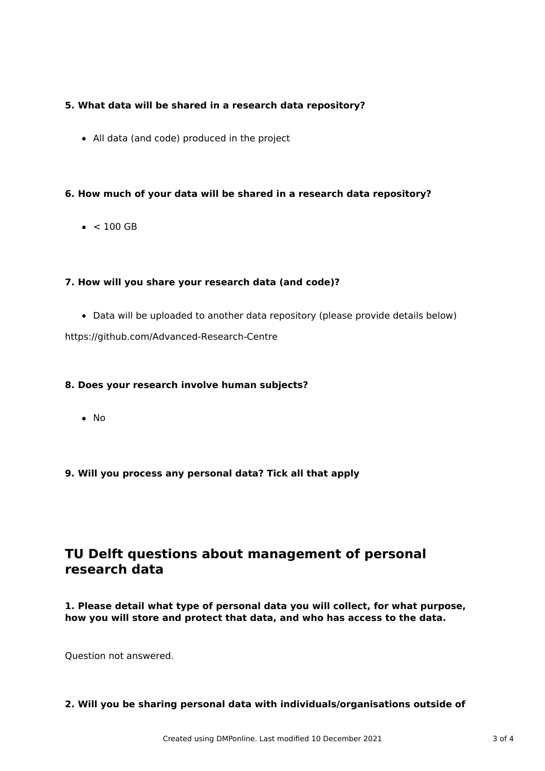#### **5. What data will be shared in a research data repository?**

All data (and code) produced in the project

#### **6. How much of your data will be shared in a research data repository?**

 $\bullet$  < 100 GB

#### **7. How will you share your research data (and code)?**

Data will be uploaded to another data repository (please provide details below)

https://github.com/Advanced-Research-Centre

#### **8. Does your research involve human subjects?**

 $\bullet$  No

#### **9. Will you process any personal data? Tick all that apply**

### **TU Delft questions about management of personal research data**

**1. Please detail what type of personal data you will collect, for what purpose, how you will store and protect that data, and who has access to the data.**

Question not answered.

**2. Will you be sharing personal data with individuals/organisations outside of**